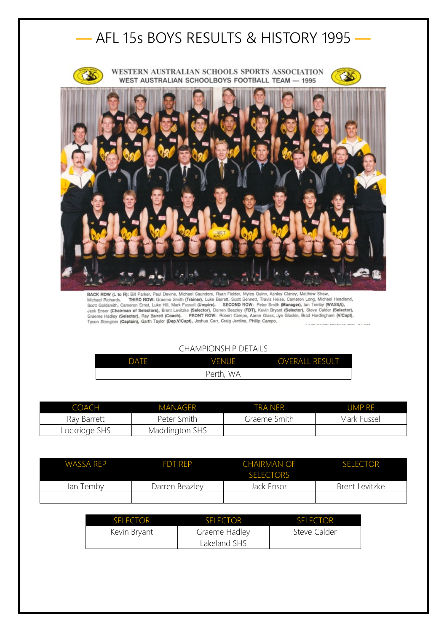

BACK ROW (L to R): Bill Parker, Paul Devine, Michael Saunders, Ryan Fielder, Myles Quinn, Ashley Clancy, Matthew Shaw,<br>Michael Richards. THIRD ROW: Graeme Smith (Trainer), Luke Barrett, Scott Bennett, Travis Heise, Cameron

## CHAMPIONSHIP DETAILS

| DATE | VENUE              | <b>OVERALL RESULT</b> |
|------|--------------------|-----------------------|
|      | <b>WA</b><br>Perth |                       |

| IOACH         | <b>MANAGER</b> | TRAINER      | <b>UMPIRE</b> |
|---------------|----------------|--------------|---------------|
| Ray Barrett   | Peter Smith    | Graeme Smith | Mark Fussell  |
| Lockridge SHS | Maddington SHS |              |               |

| WASSA REP | <b>FDT RFP</b> | <b>CHAIRMAN OF</b><br><b>SELECTORS</b> | <b>SELECTOR</b> |
|-----------|----------------|----------------------------------------|-----------------|
| lan Temby | Darren Beazley | Jack Ensor                             | Brent Levitzke  |
|           |                |                                        |                 |

| <b>SELECTOR</b> | SELECTOR      | <b>SELECTOR</b> |
|-----------------|---------------|-----------------|
| Kevin Bryant    | Graeme Hadley | Steve Calder    |
|                 | Lakeland SHS  |                 |